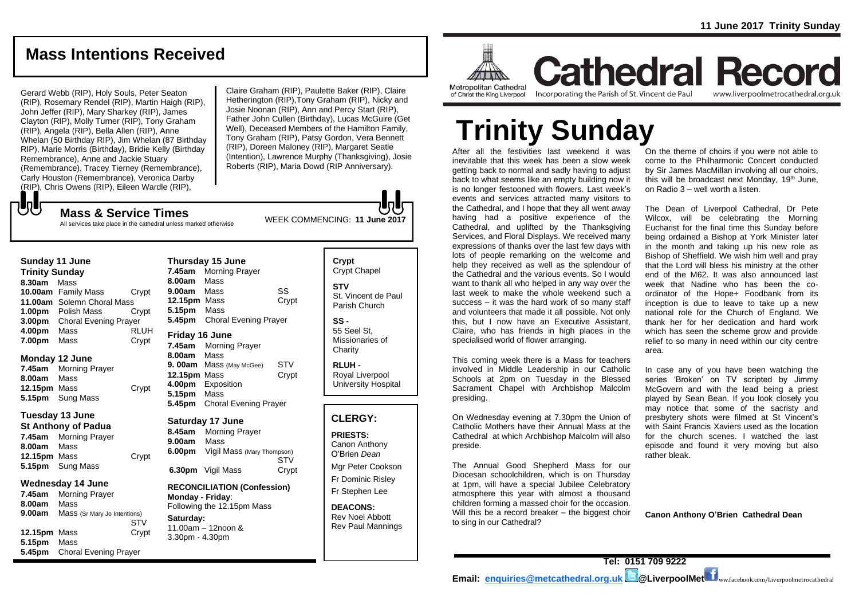## **Mass Intentions Received**

Gerard Webb (RIP), Holy Souls, Peter Seaton (RIP), Rosemary Rendel (RIP), Martin Haigh (RIP), John Jeffer (RIP), Mary Sharkey (RIP), James Clayton (RIP), Molly Turner (RIP), Tony Graham (RIP), Angela (RIP), Bella Allen (RIP), Anne Whelan (50 Birthday RIP), Jim Whelan (87 Birthday RIP), Marie Morris (Birthday), Bridie Kelly (Birthday Remembrance), Anne and Jackie Stuary (Remembrance), Tracey Tierney (Remembrance), Carly Houston (Remembrance), Veronica Darby (RIP), Chris Owens (RIP), Eileen Wardle (RIP),

Claire Graham (RIP), Paulette Baker (RIP), Claire Hetherington (RIP),Tony Graham (RIP), Nicky and Josie Noonan (RIP), Ann and Percy Start (RIP), Father John Cullen (Birthday), Lucas McGuire (Get Well), Deceased Members of the Hamilton Family, Tony Graham (RIP), Patsy Gordon, Vera Bennett (RIP), Doreen Maloney (RIP), Margaret Seatle (Intention), Lawrence Murphy (Thanksgiving), Josie Roberts (RIP), Maria Dowd (RIP Anniversary).

All services take place in the cathedral unless marked otherwise

| Sunday 11 June        |                              |       |
|-----------------------|------------------------------|-------|
| <b>Trinity Sunday</b> |                              |       |
| 8.30am                | Mass                         |       |
|                       | 10.00am Family Mass          | Crypt |
|                       | 11.00am Solemn Choral Mass   |       |
| 1.00 <sub>pm</sub>    | Polish Mass                  | Crypt |
| 3.00pm                | <b>Choral Evening Prayer</b> |       |
| 4.00pm                | Mass                         | RLUH  |
| 7.00pm                | Mass                         | Crypt |

#### **Monday 12 June**

もし

**7.45am** Morning Prayer **8.00am** Mass **12.15pm** Mass Crypt **5.15pm** Sung Mass

#### **Tuesday 13 June**

**St Anthony of Padua 7.45am** Morning Prayer **8.00am** Mass **12.15pm** Mass Crypt **5.15pm** Sung Mass

#### **Wednesday 14 June**

**7.45am** Morning Prayer **8.00am** Mass **9.00am** Mass (Sr Mary Jo Intentions) **STV 12.15pm** Mass **Crypt 5.15pm** Mass **5.45pm** Choral Evening Prayer

**Thursday 15 June 7.45am** Morning Prayer **8.00am** Mass **9.00am** Mass SS **12.15pm** Mass Crypt **5.15pm** Mass **5.45pm** Choral Evening Prayer **Friday 16 June 7.45am** Morning Prayer **8.00am** Mass **9. 00am** Mass (May McGee) STV **12.15pm** Mass Crypt **4.00pm** Exposition **5.15pm** Mass **5.45pm** Choral Evening Prayer

#### **Saturday 17 June**

**8.45am** Morning Prayer **9.00am** Mass **6.00pm** Vigil Mass (Mary Thompson) **STV 6.30pm** Vigil Mass Crypt

**RECONCILIATION (Confession) Monday - Friday**: Following the 12.15pm Mass **Saturday:**

11.00am – 12noon & 3.30pm - 4.30pm

#### **Crypt**  Crypt Chapel **STV** St. Vincent de Paul Parish Church

**SS -** 55 Seel St, Missionaries of **Charity** 

**RLUH -** Royal Liverpool University Hospital

#### **CLERGY:**

**PRIESTS:** Canon Anthony O'Brien *Dean*

Mgr Peter Cookson Fr Dominic Risley Fr Stephen Lee

**DEACONS:** Rev Noel Abbott Rev Paul Mannings



**Cathedral Record** of Christ the King Liverpool

Incorporating the Parish of St. Vincent de Paul

www.liverpoolmetrocathedral.org.uk

# **Trinity Sunday**

After all the festivities last weekend it was inevitable that this week has been a slow week getting back to normal and sadly having to adjust back to what seems like an empty building now it is no longer festooned with flowers. Last week's events and services attracted many visitors to the Cathedral, and I hope that they all went away having had a positive experience of the Cathedral, and uplifted by the Thanksgiving Services, and Floral Displays. We received many expressions of thanks over the last few days with lots of people remarking on the welcome and help they received as well as the splendour of the Cathedral and the various events. So I would want to thank all who helped in any way over the last week to make the whole weekend such a success – it was the hard work of so many staff and volunteers that made it all possible. Not only this, but I now have an Executive Assistant, Claire, who has friends in high places in the specialised world of flower arranging.

This coming week there is a Mass for teachers involved in Middle Leadership in our Catholic Schools at 2pm on Tuesday in the Blessed Sacrament Chapel with Archbishop Malcolm presiding.

On Wednesday evening at 7.30pm the Union of Catholic Mothers have their Annual Mass at the Cathedral at which Archbishop Malcolm will also preside.

The Annual Good Shepherd Mass for our Diocesan schoolchildren, which is on Thursday at 1pm, will have a special Jubilee Celebratory atmosphere this year with almost a thousand children forming a massed choir for the occasion. Will this be a record breaker – the biggest choir to sing in our Cathedral?

On the theme of choirs if you were not able to come to the Philharmonic Concert conducted by Sir James MacMillan involving all our choirs, this will be broadcast next Monday,  $19<sup>th</sup>$  June, on Radio 3 – well worth a listen.

The Dean of Liverpool Cathedral, Dr Pete Wilcox, will be celebrating the Morning Eucharist for the final time this Sunday before being ordained a Bishop at York Minister later in the month and taking up his new role as Bishop of Sheffield. We wish him well and pray that the Lord will bless his ministry at the other end of the M62. It was also announced last week that Nadine who has been the coordinator of the Hope+ Foodbank from its inception is due to leave to take up a new national role for the Church of England. We thank her for her dedication and hard work which has seen the scheme grow and provide relief to so many in need within our city centre area.

In case any of you have been watching the series 'Broken' on TV scripted by Jimmy McGovern and with the lead being a priest played by Sean Bean. If you look closely you may notice that some of the sacristy and presbytery shots were filmed at St Vincent's with Saint Francis Xaviers used as the location for the church scenes. I watched the last episode and found it very moving but also rather bleak.

**Canon Anthony O'Brien Cathedral Dean**

WEEK COMMENCING: **11 June 2017 Mass & Service Times**